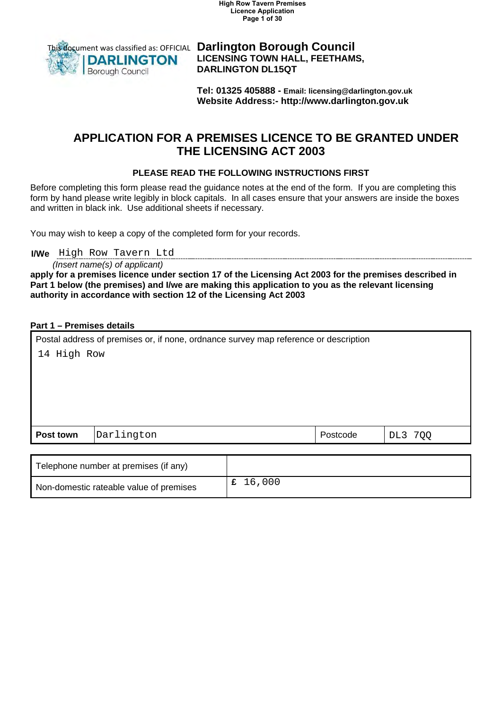**High Row Tavern Premises Licence Application Page 1 of 30**



 **LICENSING TOWN HALL, FEETHAMS, DARLINGTON DL15QT** 

**Tel: 01325 405888 - Email: licensing@darlington.gov.uk Website Address:-<http://www.darlington.gov.uk>**

## **APPLICATION FOR A PREMISES LICENCE TO BE GRANTED UNDER THE LICENSING ACT 2003**

### **PLEASE READ THE FOLLOWING INSTRUCTIONS FIRST**

 form by hand please write legibly in block capitals. In all cases ensure that your answers are inside the boxes and written in black ink. Use additional sheets if necessary. Before completing this form please read the guidance notes at the end of the form. If you are completing this

You may wish to keep a copy of the completed form for your records.

**I/We**  High Row Tavern Ltd

*(Insert name(s) of applicant)* 

**apply for a premises licence under section 17 of the Licensing Act 2003 for the premises described in Part 1 below (the premises) and I/we are making this application to you as the relevant licensing authority in accordance with section 12 of the Licensing Act 2003** 

### **Part 1 – Premises details**

| Postal address of premises or, if none, ordnance survey map reference or description |            |  |          |         |
|--------------------------------------------------------------------------------------|------------|--|----------|---------|
| 14 High Row                                                                          |            |  |          |         |
|                                                                                      |            |  |          |         |
|                                                                                      |            |  |          |         |
|                                                                                      |            |  |          |         |
|                                                                                      |            |  |          |         |
| Post town                                                                            | Darlington |  | Postcode | DL3 7QQ |
|                                                                                      |            |  |          |         |

| Telephone number at premises (if any)   |        |
|-----------------------------------------|--------|
| Non-domestic rateable value of premises | 16,000 |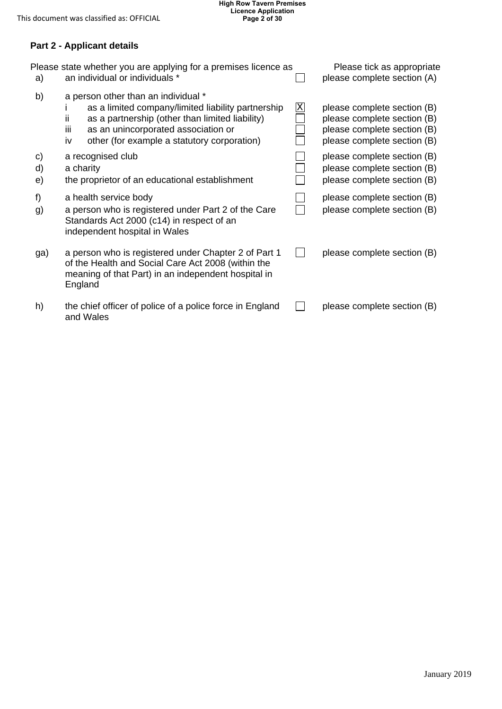### **Part 2 - Applicant details**

| a)             | Please state whether you are applying for a premises licence as<br>an individual or individuals *                                                                                                                                                               |                         | Please tick as appropriate<br>please complete section (A)                                                                |
|----------------|-----------------------------------------------------------------------------------------------------------------------------------------------------------------------------------------------------------------------------------------------------------------|-------------------------|--------------------------------------------------------------------------------------------------------------------------|
| b)             | a person other than an individual *<br>as a limited company/limited liability partnership<br>as a partnership (other than limited liability)<br>$\mathbf{H}$<br>as an unincorporated association or<br>iij<br>other (for example a statutory corporation)<br>iv | $\overline{\mathrm{X}}$ | please complete section (B)<br>please complete section (B)<br>please complete section (B)<br>please complete section (B) |
| C)<br>d)<br>e) | a recognised club<br>a charity<br>the proprietor of an educational establishment                                                                                                                                                                                |                         | please complete section (B)<br>please complete section (B)<br>please complete section (B)                                |
| f)<br>g)       | a health service body<br>a person who is registered under Part 2 of the Care<br>Standards Act 2000 (c14) in respect of an<br>independent hospital in Wales                                                                                                      |                         | please complete section (B)<br>please complete section (B)                                                               |
| ga)            | a person who is registered under Chapter 2 of Part 1<br>of the Health and Social Care Act 2008 (within the<br>meaning of that Part) in an independent hospital in<br>England                                                                                    | $\mathbf{I}$            | please complete section (B)                                                                                              |
| h)             | the chief officer of police of a police force in England<br>and Wales                                                                                                                                                                                           |                         | please complete section (B)                                                                                              |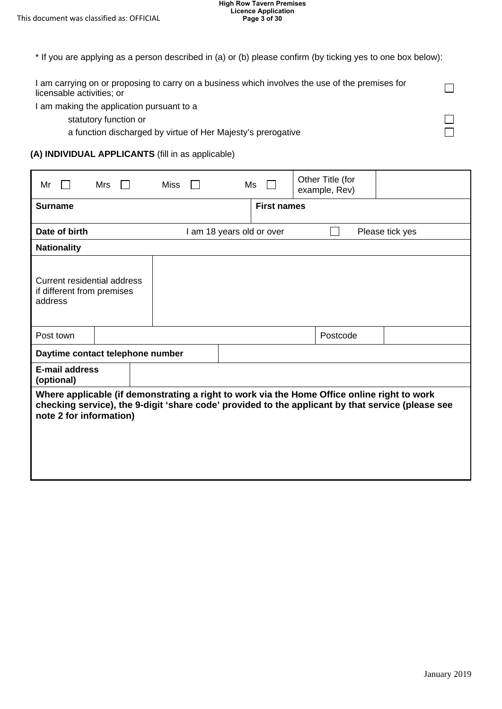| * If you are applying as a person described in (a) or (b) please confirm (by ticking yes to one box below):                  |  |
|------------------------------------------------------------------------------------------------------------------------------|--|
| I am carrying on or proposing to carry on a business which involves the use of the premises for<br>licensable activities; or |  |
| I am making the application pursuant to a                                                                                    |  |

statutory function or

a function discharged by virtue of Her Majesty's prerogative

#### **(A) INDIVIDUAL APPLICANTS** (fill in as applicable)

| Mr                                                                   | Mrs | Miss                                                                                                                                                                                             | Ms                        | Other Title (for<br>example, Rev) |                 |
|----------------------------------------------------------------------|-----|--------------------------------------------------------------------------------------------------------------------------------------------------------------------------------------------------|---------------------------|-----------------------------------|-----------------|
| <b>Surname</b>                                                       |     |                                                                                                                                                                                                  | <b>First names</b>        |                                   |                 |
| Date of birth                                                        |     |                                                                                                                                                                                                  | I am 18 years old or over |                                   | Please tick yes |
| <b>Nationality</b>                                                   |     |                                                                                                                                                                                                  |                           |                                   |                 |
| Current residential address<br>if different from premises<br>address |     |                                                                                                                                                                                                  |                           |                                   |                 |
| Post town                                                            |     |                                                                                                                                                                                                  |                           | Postcode                          |                 |
| Daytime contact telephone number                                     |     |                                                                                                                                                                                                  |                           |                                   |                 |
| <b>E-mail address</b><br>(optional)                                  |     |                                                                                                                                                                                                  |                           |                                   |                 |
| note 2 for information)                                              |     | Where applicable (if demonstrating a right to work via the Home Office online right to work<br>checking service), the 9-digit 'share code' provided to the applicant by that service (please see |                           |                                   |                 |

□ □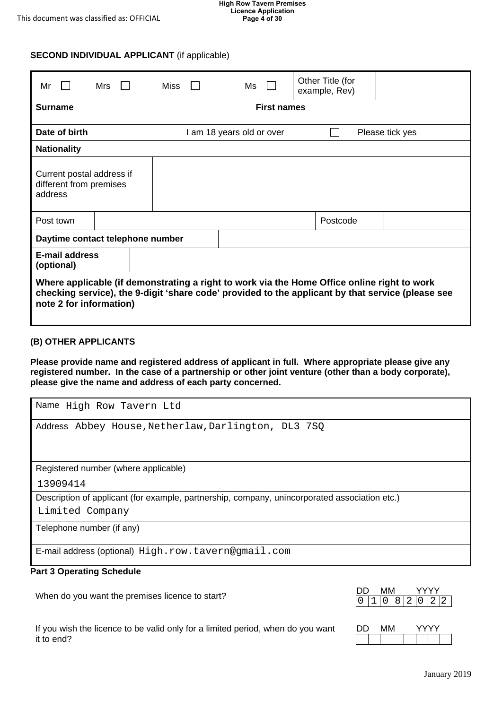#### **High Row Tavern Premises Licence Application Page 4 of 30**

### **SECOND INDIVIDUAL APPLICANT** (if applicable)

| Mr                                                                                                                                                                                                                          | Mrs $\Box$ |  | Miss |  |                           | Ms                 | Other Title (for<br>example, Rev) |                 |
|-----------------------------------------------------------------------------------------------------------------------------------------------------------------------------------------------------------------------------|------------|--|------|--|---------------------------|--------------------|-----------------------------------|-----------------|
| Surname                                                                                                                                                                                                                     |            |  |      |  |                           | <b>First names</b> |                                   |                 |
| Date of birth                                                                                                                                                                                                               |            |  |      |  | I am 18 years old or over |                    |                                   | Please tick yes |
| <b>Nationality</b>                                                                                                                                                                                                          |            |  |      |  |                           |                    |                                   |                 |
| Current postal address if<br>different from premises<br>address                                                                                                                                                             |            |  |      |  |                           |                    |                                   |                 |
| Post town                                                                                                                                                                                                                   |            |  |      |  |                           |                    | Postcode                          |                 |
| Daytime contact telephone number                                                                                                                                                                                            |            |  |      |  |                           |                    |                                   |                 |
| <b>E-mail address</b><br>(optional)                                                                                                                                                                                         |            |  |      |  |                           |                    |                                   |                 |
| Where applicable (if demonstrating a right to work via the Home Office online right to work<br>checking service), the 9-digit 'share code' provided to the applicant by that service (please see<br>note 2 for information) |            |  |      |  |                           |                    |                                   |                 |

#### **(B) OTHER APPLICANTS**

 **Please provide name and registered address of applicant in full. Where appropriate please give any registered number. In the case of a partnership or other joint venture (other than a body corporate), please give the name and address of each party concerned.** 

| Name High Row Tavern Ltd                                                                      |
|-----------------------------------------------------------------------------------------------|
| Address Abbey House, Netherlaw, Darlington, DL3 7SQ                                           |
| Registered number (where applicable)                                                          |
| 13909414                                                                                      |
| Description of applicant (for example, partnership, company, unincorporated association etc.) |
| Limited Company                                                                               |
| Telephone number (if any)                                                                     |
| E-mail address (optional) High.row.tavern@gmail.com                                           |

#### **Part 3 Operating Schedule**

When do you want the premises licence to start?

If you wish the licence to be valid only for a limited period, when do you want DD MM it to end?

|  |  | 0 8 2 10 |  | I 2-I 2- |  |
|--|--|----------|--|----------|--|

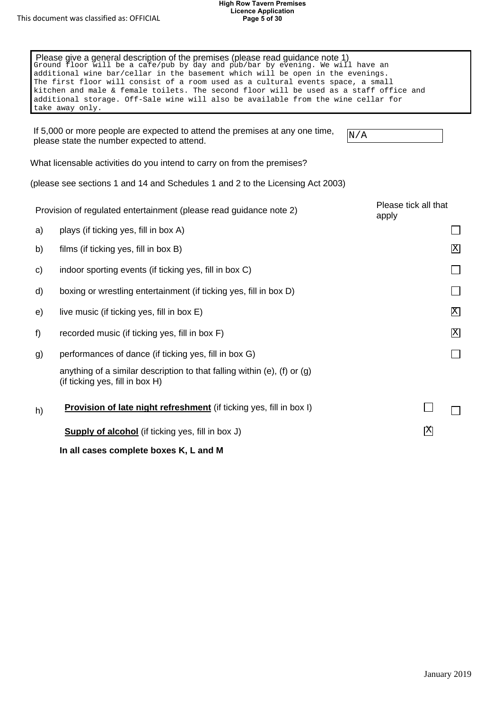|    | Please give a general description of the premises (please read guidance note 1)<br>Ground floor will be a cafe/pub by day and pub/bar by evening. We will have an<br>additional wine bar/cellar in the basement which will be open in the evenings.<br>The first floor will consist of a room used as a cultural events space, a small<br>kitchen and male & female toilets. The second floor will be used as a staff office and<br>additional storage. Off-Sale wine will also be available from the wine cellar for<br>take away only. |                               |  |
|----|------------------------------------------------------------------------------------------------------------------------------------------------------------------------------------------------------------------------------------------------------------------------------------------------------------------------------------------------------------------------------------------------------------------------------------------------------------------------------------------------------------------------------------------|-------------------------------|--|
|    | If 5,000 or more people are expected to attend the premises at any one time,<br>please state the number expected to attend.                                                                                                                                                                                                                                                                                                                                                                                                              | N/A                           |  |
|    | What licensable activities do you intend to carry on from the premises?                                                                                                                                                                                                                                                                                                                                                                                                                                                                  |                               |  |
|    | (please see sections 1 and 14 and Schedules 1 and 2 to the Licensing Act 2003)                                                                                                                                                                                                                                                                                                                                                                                                                                                           |                               |  |
|    | Provision of regulated entertainment (please read guidance note 2)                                                                                                                                                                                                                                                                                                                                                                                                                                                                       | Please tick all that<br>apply |  |
| a) | plays (if ticking yes, fill in box A)                                                                                                                                                                                                                                                                                                                                                                                                                                                                                                    |                               |  |
| b) | films (if ticking yes, fill in box B)                                                                                                                                                                                                                                                                                                                                                                                                                                                                                                    | X                             |  |
| C) | indoor sporting events (if ticking yes, fill in box C)                                                                                                                                                                                                                                                                                                                                                                                                                                                                                   |                               |  |
| d) | boxing or wrestling entertainment (if ticking yes, fill in box D)                                                                                                                                                                                                                                                                                                                                                                                                                                                                        |                               |  |
| e) | live music (if ticking yes, fill in box E)                                                                                                                                                                                                                                                                                                                                                                                                                                                                                               | Χ                             |  |
| f) | recorded music (if ticking yes, fill in box F)                                                                                                                                                                                                                                                                                                                                                                                                                                                                                           | X                             |  |
| g) | performances of dance (if ticking yes, fill in box G)                                                                                                                                                                                                                                                                                                                                                                                                                                                                                    |                               |  |
|    | anything of a similar description to that falling within (e), (f) or $(g)$<br>(if ticking yes, fill in box H)                                                                                                                                                                                                                                                                                                                                                                                                                            |                               |  |
| h) | Provision of late night refreshment (if ticking yes, fill in box I)                                                                                                                                                                                                                                                                                                                                                                                                                                                                      |                               |  |
|    | <b>Supply of alcohol</b> (if ticking yes, fill in box J)                                                                                                                                                                                                                                                                                                                                                                                                                                                                                 | 区                             |  |
|    | In all cases complete boxes K, L and M                                                                                                                                                                                                                                                                                                                                                                                                                                                                                                   |                               |  |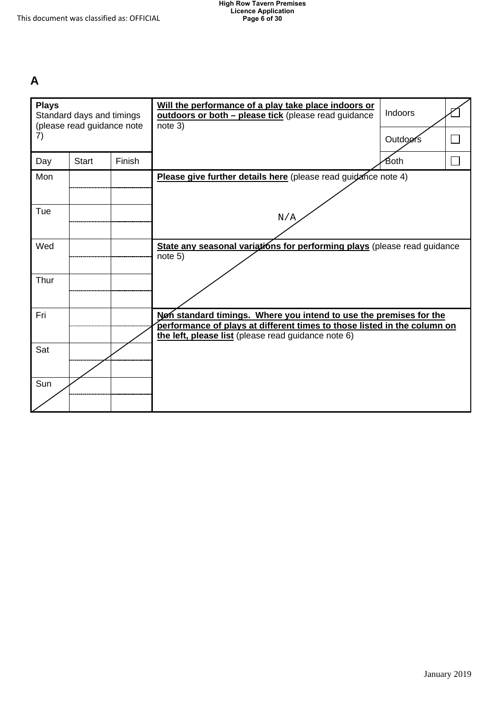## **A**

| <b>Plays</b> | Standard days and timings<br>(please read guidance note |        | Will the performance of a play take place indoors or<br>outdoors or both - please tick (please read guidance<br>note 3)                        | Indoors  |  |
|--------------|---------------------------------------------------------|--------|------------------------------------------------------------------------------------------------------------------------------------------------|----------|--|
| 7)           |                                                         |        |                                                                                                                                                | Outdoors |  |
| Day          | <b>Start</b>                                            | Finish |                                                                                                                                                | Both     |  |
| Mon          |                                                         |        | Please give further details here (please read guidance note 4)                                                                                 |          |  |
|              |                                                         |        |                                                                                                                                                |          |  |
| Tue          |                                                         |        | N/A                                                                                                                                            |          |  |
| Wed          |                                                         |        | State any seasonal variations for performing plays (please read guidance                                                                       |          |  |
|              |                                                         |        | note 5)                                                                                                                                        |          |  |
| Thur         |                                                         |        |                                                                                                                                                |          |  |
|              |                                                         |        |                                                                                                                                                |          |  |
| Fri          |                                                         |        | Nen standard timings. Where you intend to use the premises for the<br>performance of plays at different times to those listed in the column on |          |  |
|              |                                                         |        | the left, please list (please read guidance note 6)                                                                                            |          |  |
| Sat          |                                                         |        |                                                                                                                                                |          |  |
|              |                                                         |        |                                                                                                                                                |          |  |
| Sun          |                                                         |        |                                                                                                                                                |          |  |
|              |                                                         |        |                                                                                                                                                |          |  |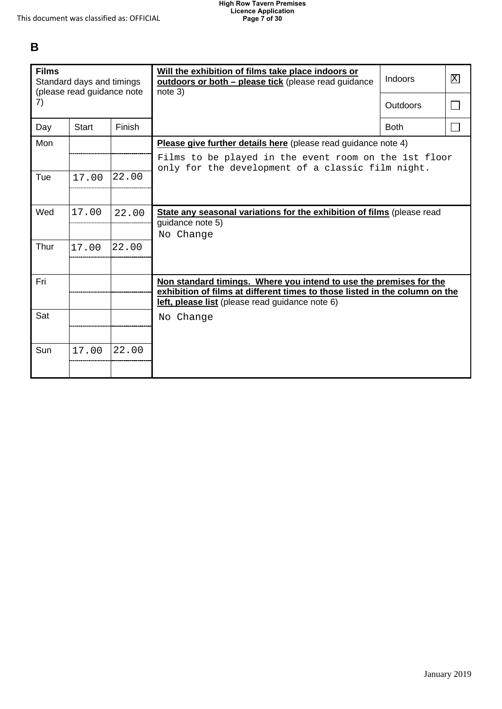## **B**

| <b>Films</b><br>Standard days and timings<br>(please read guidance note |              |        | Will the exhibition of films take place indoors or<br>outdoors or both - please tick (please read guidance<br>note 3)                             | <b>Indoors</b>  | 区 |
|-------------------------------------------------------------------------|--------------|--------|---------------------------------------------------------------------------------------------------------------------------------------------------|-----------------|---|
| 7)                                                                      |              |        |                                                                                                                                                   | <b>Outdoors</b> |   |
| Day                                                                     | <b>Start</b> | Finish |                                                                                                                                                   | <b>Both</b>     |   |
| Mon                                                                     |              |        | Please give further details here (please read guidance note 4)                                                                                    |                 |   |
|                                                                         |              |        | Films to be played in the event room on the 1st floor<br>only for the development of a classic film night.                                        |                 |   |
| Tue                                                                     | 17.00        | 22.00  |                                                                                                                                                   |                 |   |
|                                                                         |              |        |                                                                                                                                                   |                 |   |
| Wed                                                                     | 17.00        | 22.00  | State any seasonal variations for the exhibition of films (please read                                                                            |                 |   |
|                                                                         |              |        | guidance note 5)<br>No Change                                                                                                                     |                 |   |
| Thur                                                                    | 17.00        | 22.00  |                                                                                                                                                   |                 |   |
|                                                                         |              |        |                                                                                                                                                   |                 |   |
| Fri                                                                     |              |        | Non standard timings. Where you intend to use the premises for the<br>exhibition of films at different times to those listed in the column on the |                 |   |
|                                                                         |              |        | left, please list (please read guidance note 6)                                                                                                   |                 |   |
| Sat                                                                     |              |        | No Change                                                                                                                                         |                 |   |
|                                                                         |              |        |                                                                                                                                                   |                 |   |
| Sun                                                                     | 17.00        | 22.00  |                                                                                                                                                   |                 |   |
|                                                                         |              |        |                                                                                                                                                   |                 |   |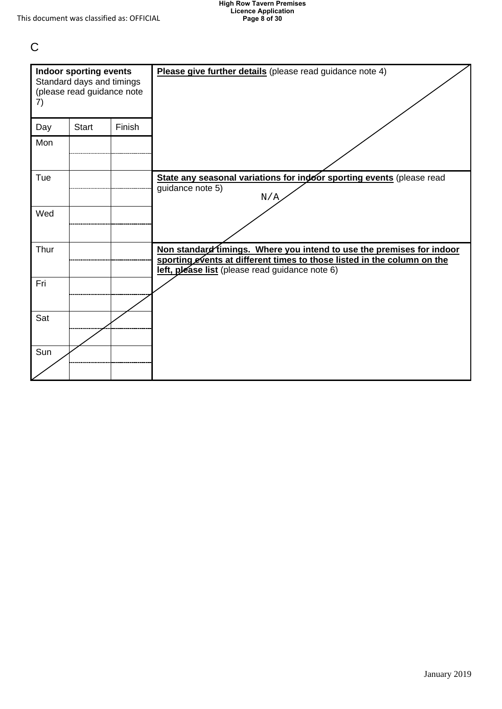C

| 7)   | <b>Indoor sporting events</b><br>Standard days and timings<br>(please read guidance note |        | Please give further details (please read guidance note 4)                                                                                                                                           |
|------|------------------------------------------------------------------------------------------|--------|-----------------------------------------------------------------------------------------------------------------------------------------------------------------------------------------------------|
| Day  | <b>Start</b>                                                                             | Finish |                                                                                                                                                                                                     |
| Mon  |                                                                                          |        |                                                                                                                                                                                                     |
| Tue  |                                                                                          |        | State any seasonal variations for indoor sporting events (please read<br>guidance note 5)<br>N/A                                                                                                    |
| Wed  |                                                                                          |        |                                                                                                                                                                                                     |
| Thur |                                                                                          |        | Non standard fimings. Where you intend to use the premises for indoor<br>sporting events at different times to those listed in the column on the<br>left, please list (please read guidance note 6) |
| Fri  |                                                                                          |        |                                                                                                                                                                                                     |
| Sat  |                                                                                          |        |                                                                                                                                                                                                     |
| Sun  |                                                                                          |        |                                                                                                                                                                                                     |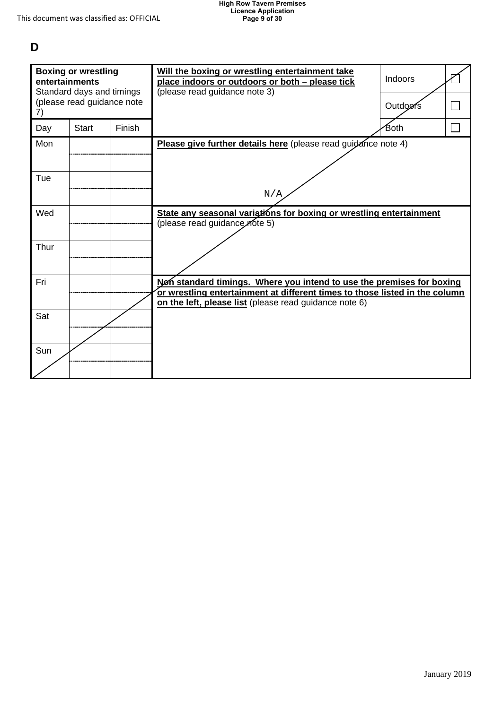## **D**

| <b>Boxing or wrestling</b><br>entertainments<br>Standard days and timings |                            |               | Will the boxing or wrestling entertainment take<br>place indoors or outdoors or both - please tick<br>(please read guidance note 3)   | Indoors |  |
|---------------------------------------------------------------------------|----------------------------|---------------|---------------------------------------------------------------------------------------------------------------------------------------|---------|--|
| 7)                                                                        | (please read guidance note |               |                                                                                                                                       | Outdoms |  |
| Day                                                                       | <b>Start</b>               | <b>Finish</b> |                                                                                                                                       | Both    |  |
| Mon                                                                       |                            |               | Please give further details here (please read guidance note 4)                                                                        |         |  |
|                                                                           |                            |               |                                                                                                                                       |         |  |
| Tue                                                                       |                            |               |                                                                                                                                       |         |  |
|                                                                           |                            |               | N/A                                                                                                                                   |         |  |
| Wed                                                                       |                            |               | State any seasonal variations for boxing or wrestling entertainment<br>(please read guidance note 5)                                  |         |  |
| Thur                                                                      |                            |               |                                                                                                                                       |         |  |
| Fri                                                                       |                            |               | Non standard timings. Where you intend to use the premises for boxing                                                                 |         |  |
|                                                                           |                            |               | or wrestling entertainment at different times to those listed in the column<br>on the left, please list (please read guidance note 6) |         |  |
| Sat                                                                       |                            |               |                                                                                                                                       |         |  |
|                                                                           |                            |               |                                                                                                                                       |         |  |
| Sun                                                                       |                            |               |                                                                                                                                       |         |  |
|                                                                           |                            |               |                                                                                                                                       |         |  |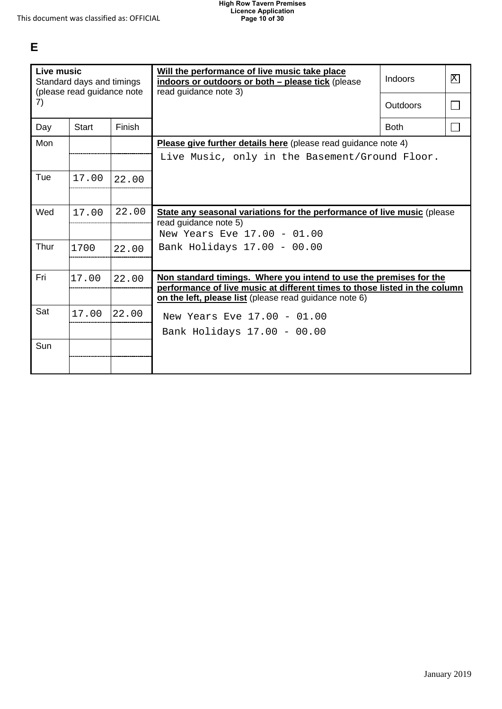# **E**

| <b>Live music</b><br>Standard days and timings<br>(please read guidance note |       |        | Will the performance of live music take place<br>indoors or outdoors or both - please tick (please<br>read guidance note 3)                      | Indoors         | 区      |
|------------------------------------------------------------------------------|-------|--------|--------------------------------------------------------------------------------------------------------------------------------------------------|-----------------|--------|
| 7)                                                                           |       |        |                                                                                                                                                  | <b>Outdoors</b> | $\Box$ |
| Day                                                                          | Start | Finish |                                                                                                                                                  | <b>Both</b>     | $\Box$ |
| Mon                                                                          |       |        | <b>Please give further details here</b> (please read guidance note 4)                                                                            |                 |        |
|                                                                              |       |        | Live Music, only in the Basement/Ground Floor.                                                                                                   |                 |        |
| Tue                                                                          | 17.00 | 22.00  |                                                                                                                                                  |                 |        |
|                                                                              |       |        |                                                                                                                                                  |                 |        |
| Wed                                                                          | 17.00 | 22.00  | State any seasonal variations for the performance of live music (please<br>read guidance note 5)                                                 |                 |        |
|                                                                              |       |        | New Years Eve 17.00 - 01.00                                                                                                                      |                 |        |
| Thur                                                                         | 1700  | 22.00  | Bank Holidays 17.00 - 00.00                                                                                                                      |                 |        |
|                                                                              |       |        |                                                                                                                                                  |                 |        |
| Fri                                                                          | 17.00 | 22.00  | Non standard timings. Where you intend to use the premises for the<br>performance of live music at different times to those listed in the column |                 |        |
|                                                                              |       |        | on the left, please list (please read guidance note 6)                                                                                           |                 |        |
| Sat                                                                          | 17.00 | 22.00  | New Years Eve 17.00 - 01.00                                                                                                                      |                 |        |
|                                                                              |       |        | Bank Holidays 17.00 - 00.00                                                                                                                      |                 |        |
| Sun                                                                          |       |        |                                                                                                                                                  |                 |        |
|                                                                              |       |        |                                                                                                                                                  |                 |        |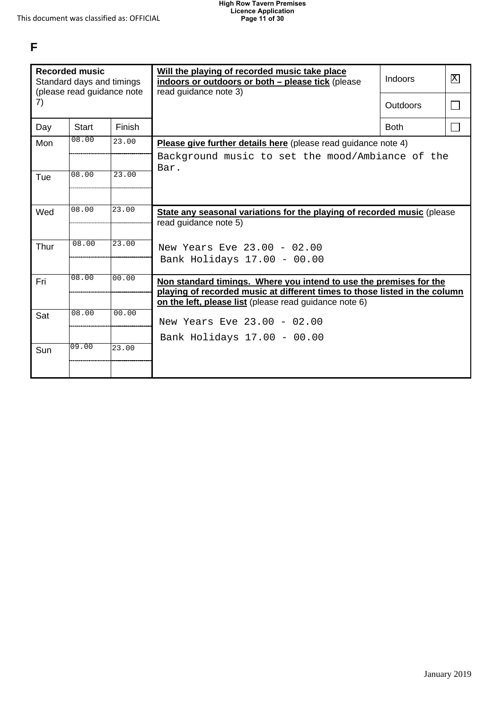**F** 

| <b>Recorded music</b><br>Standard days and timings<br>(please read guidance note |              |        | Will the playing of recorded music take place<br>indoors or outdoors or both - please tick (please<br>read guidance note 3)          | Indoors         | 区 |
|----------------------------------------------------------------------------------|--------------|--------|--------------------------------------------------------------------------------------------------------------------------------------|-----------------|---|
| 7)                                                                               |              |        |                                                                                                                                      | <b>Outdoors</b> |   |
| Day                                                                              | <b>Start</b> | Finish |                                                                                                                                      | <b>Both</b>     |   |
| Mon                                                                              | 08.00        | 23.00  | Please give further details here (please read guidance note 4)                                                                       |                 |   |
|                                                                                  |              |        | Background music to set the mood/Ambiance of the                                                                                     |                 |   |
| Tue                                                                              | 08.00        | 23.00  | Bar.                                                                                                                                 |                 |   |
|                                                                                  |              |        |                                                                                                                                      |                 |   |
| Wed                                                                              | 08.00        | 23.00  | State any seasonal variations for the playing of recorded music (please                                                              |                 |   |
|                                                                                  |              |        | read guidance note 5)                                                                                                                |                 |   |
| Thur                                                                             | 08.00        | 23.00  | New Years Eve 23.00 - 02.00                                                                                                          |                 |   |
|                                                                                  |              |        | Bank Holidays 17.00 - 00.00                                                                                                          |                 |   |
| Fri                                                                              | 08.00        | 00.00  | Non standard timings. Where you intend to use the premises for the                                                                   |                 |   |
|                                                                                  |              |        | playing of recorded music at different times to those listed in the column<br>on the left, please list (please read guidance note 6) |                 |   |
| Sat                                                                              | 08.00        | 00.00  |                                                                                                                                      |                 |   |
|                                                                                  |              |        | New Years Eve 23.00 - 02.00                                                                                                          |                 |   |
|                                                                                  |              |        | Bank Holidays 17.00 - 00.00                                                                                                          |                 |   |
| Sun                                                                              | 09.00        | 23.00  |                                                                                                                                      |                 |   |
|                                                                                  |              |        |                                                                                                                                      |                 |   |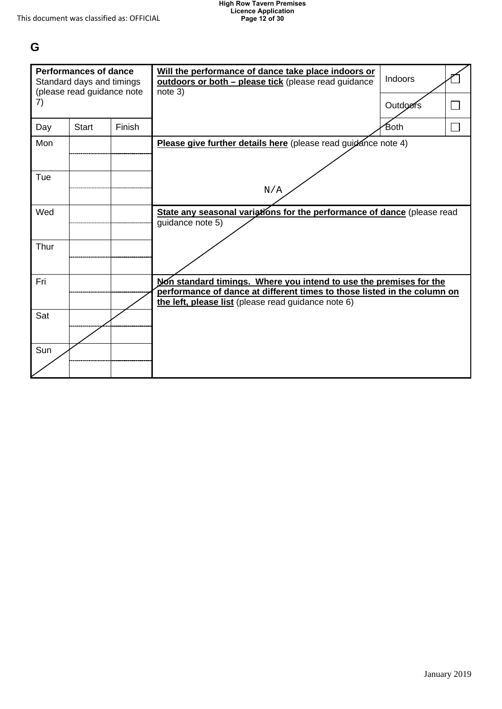## **G**

| <b>Performances of dance</b><br>Standard days and timings<br>(please read guidance note |              |        | Will the performance of dance take place indoors or<br>outdoors or both - please tick (please read guidance<br>note 3)                                                                                | Indoors  |  |
|-----------------------------------------------------------------------------------------|--------------|--------|-------------------------------------------------------------------------------------------------------------------------------------------------------------------------------------------------------|----------|--|
| 7)                                                                                      |              |        |                                                                                                                                                                                                       | Outdoors |  |
| Day                                                                                     | <b>Start</b> | Finish |                                                                                                                                                                                                       | Both     |  |
| Mon                                                                                     |              |        | Please give further details here (please read guidance note 4)                                                                                                                                        |          |  |
| Tue                                                                                     |              |        | N/A                                                                                                                                                                                                   |          |  |
| Wed                                                                                     |              |        | State any seasonal variations for the performance of dance (please read<br>quidance note 5)                                                                                                           |          |  |
| Thur                                                                                    |              |        |                                                                                                                                                                                                       |          |  |
| Fri                                                                                     |              |        | Non standard timings. Where you intend to use the premises for the<br>performance of dance at different times to those listed in the column on<br>the left, please list (please read guidance note 6) |          |  |
| Sat                                                                                     |              |        |                                                                                                                                                                                                       |          |  |
| Sun                                                                                     |              |        |                                                                                                                                                                                                       |          |  |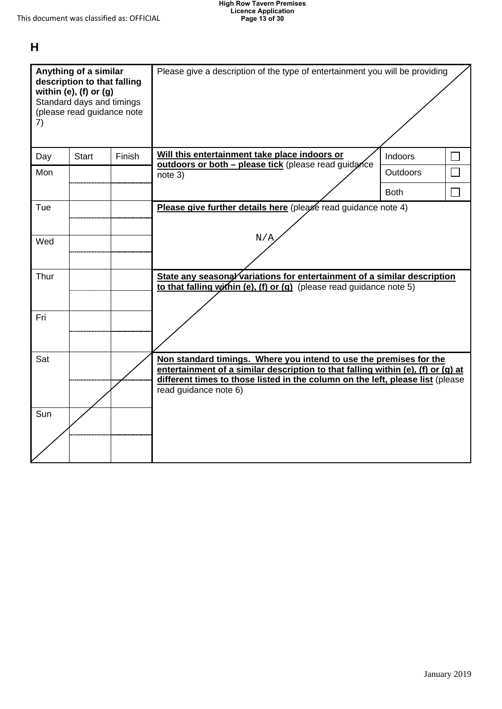# **H**

| Anything of a similar<br>description to that falling<br>within (e), (f) or $(g)$<br>Standard days and timings<br>(please read guidance note<br>7) |              |        | Please give a description of the type of entertainment you will be providing                                                                                                                                                                                      |             |  |
|---------------------------------------------------------------------------------------------------------------------------------------------------|--------------|--------|-------------------------------------------------------------------------------------------------------------------------------------------------------------------------------------------------------------------------------------------------------------------|-------------|--|
| Day                                                                                                                                               | <b>Start</b> | Finish | Will this entertainment take place indoors or<br>outdoors or both - please tick (please read guidance                                                                                                                                                             | Indoors     |  |
| Mon                                                                                                                                               |              |        | note 3)                                                                                                                                                                                                                                                           | Outdoors    |  |
|                                                                                                                                                   |              |        |                                                                                                                                                                                                                                                                   | <b>Both</b> |  |
| Tue                                                                                                                                               |              |        | Please give further details here (please read guidance note 4)                                                                                                                                                                                                    |             |  |
| Wed                                                                                                                                               |              |        | N/A                                                                                                                                                                                                                                                               |             |  |
| Thur                                                                                                                                              |              |        | State any seasong/variations for entertainment of a similar description<br>to that falling within (e), (f) or (g) (please read guidance note $5$ )                                                                                                                |             |  |
| Fri                                                                                                                                               |              |        |                                                                                                                                                                                                                                                                   |             |  |
| Sat                                                                                                                                               |              |        | Non standard timings. Where you intend to use the premises for the<br>entertainment of a similar description to that falling within (e), (f) or (g) at<br>different times to those listed in the column on the left, please list (please<br>read guidance note 6) |             |  |
| Sun                                                                                                                                               |              |        |                                                                                                                                                                                                                                                                   |             |  |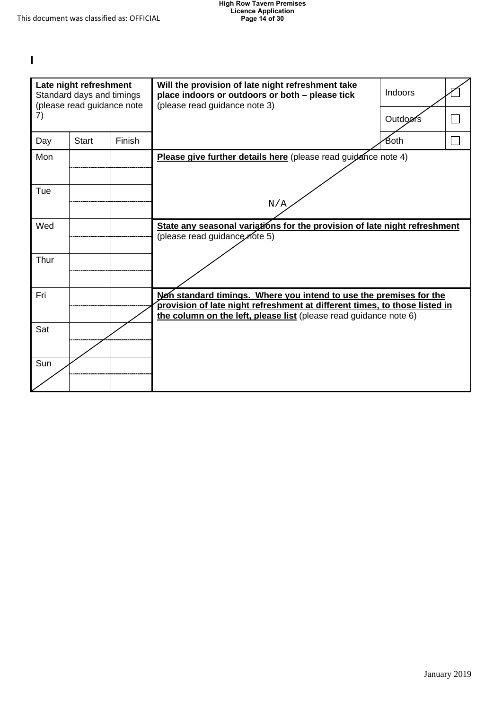**I** 

| Late night refreshment<br>Standard days and timings<br>(please read guidance note |              |        | Will the provision of late night refreshment take<br>place indoors or outdoors or both - please tick<br>(please read guidance note 3)                                                                                 | Indoors  |  |
|-----------------------------------------------------------------------------------|--------------|--------|-----------------------------------------------------------------------------------------------------------------------------------------------------------------------------------------------------------------------|----------|--|
| 7)                                                                                |              |        |                                                                                                                                                                                                                       | Outdoofs |  |
| Day                                                                               | <b>Start</b> | Finish |                                                                                                                                                                                                                       | Both     |  |
| Mon                                                                               |              |        | Please give further details here (please read guidance note 4)                                                                                                                                                        |          |  |
| Tue                                                                               |              |        | N/A                                                                                                                                                                                                                   |          |  |
| Wed                                                                               |              |        | State any seasonal variations for the provision of late night refreshment<br>(please read guidance note 5)                                                                                                            |          |  |
| Thur                                                                              |              |        |                                                                                                                                                                                                                       |          |  |
| Fri                                                                               |              |        | Non standard timings. Where you intend to use the premises for the<br>provision of late night refreshment at different times, to those listed in<br>the column on the left, please list (please read guidance note 6) |          |  |
| Sat                                                                               |              |        |                                                                                                                                                                                                                       |          |  |
| Sun                                                                               |              |        |                                                                                                                                                                                                                       |          |  |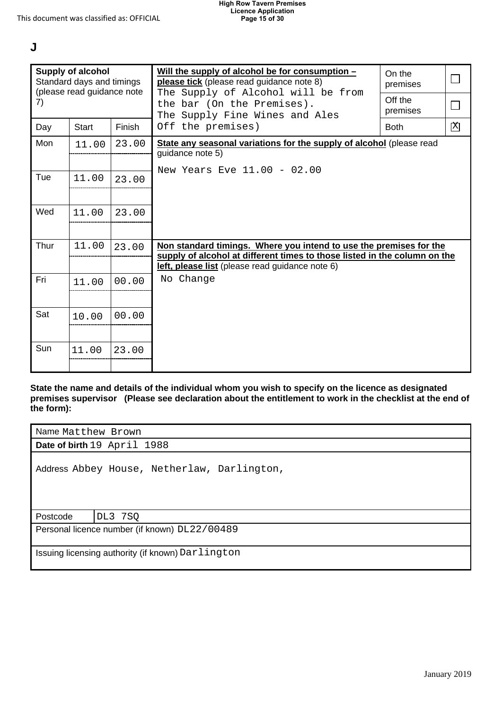**J** 

| <b>Supply of alcohol</b><br>Standard days and timings<br>(please read guidance note                                                                                                                                          |                                                              |        | Will the supply of alcohol be for consumption -<br>please tick (please read guidance note 8)<br>The Supply of Alcohol will be from                                                                 | On the<br>premises |              |
|------------------------------------------------------------------------------------------------------------------------------------------------------------------------------------------------------------------------------|--------------------------------------------------------------|--------|----------------------------------------------------------------------------------------------------------------------------------------------------------------------------------------------------|--------------------|--------------|
| 7)                                                                                                                                                                                                                           | the bar (On the Premises).<br>The Supply Fine Wines and Ales |        | Off the<br>premises                                                                                                                                                                                | $\Box$             |              |
| Day                                                                                                                                                                                                                          | <b>Start</b>                                                 | Finish | Off the premises)                                                                                                                                                                                  | <b>Both</b>        | $\mathbf{X}$ |
| Mon                                                                                                                                                                                                                          | 11.00                                                        | 23.00  | State any seasonal variations for the supply of alcohol (please read<br>guidance note 5)                                                                                                           |                    |              |
| Tue                                                                                                                                                                                                                          | 11.00                                                        | 23.00  | New Years Eve 11.00 - 02.00                                                                                                                                                                        |                    |              |
| Wed                                                                                                                                                                                                                          | 11.00                                                        | 23.00  |                                                                                                                                                                                                    |                    |              |
| Thur<br>11.00<br>23.00                                                                                                                                                                                                       |                                                              |        | Non standard timings. Where you intend to use the premises for the<br>supply of alcohol at different times to those listed in the column on the<br>left, please list (please read guidance note 6) |                    |              |
| Fri                                                                                                                                                                                                                          | 11.00                                                        | 00.00  | No Change                                                                                                                                                                                          |                    |              |
| Sat                                                                                                                                                                                                                          | 10.00                                                        | 00.00  |                                                                                                                                                                                                    |                    |              |
| Sun                                                                                                                                                                                                                          | 11.00                                                        | 23.00  |                                                                                                                                                                                                    |                    |              |
| State the name and details of the individual whom you wish to specify on the licence as designated<br>premises supervisor (Please see declaration about the entitlement to work in the checklist at the end of<br>the form): |                                                              |        |                                                                                                                                                                                                    |                    |              |
|                                                                                                                                                                                                                              | Name Matthew Brown                                           |        |                                                                                                                                                                                                    |                    |              |
|                                                                                                                                                                                                                              | Date of birth 19 April 1988                                  |        |                                                                                                                                                                                                    |                    |              |
| Address Abbey House, Netherlaw, Darlington,                                                                                                                                                                                  |                                                              |        |                                                                                                                                                                                                    |                    |              |
|                                                                                                                                                                                                                              | Postcode<br>DL3 7SQ                                          |        |                                                                                                                                                                                                    |                    |              |
|                                                                                                                                                                                                                              |                                                              |        | Personal licence number (if known) DL22/00489                                                                                                                                                      |                    |              |
|                                                                                                                                                                                                                              | Issuing licensing authority (if known) Darlington            |        |                                                                                                                                                                                                    |                    |              |

| Name Matthew Brown                                |  |  |  |  |  |
|---------------------------------------------------|--|--|--|--|--|
| Date of birth 19 April 1988                       |  |  |  |  |  |
| Address Abbey House, Netherlaw, Darlington,       |  |  |  |  |  |
| Postcode<br>DL3 7SQ                               |  |  |  |  |  |
| Personal licence number (if known) DL22/00489     |  |  |  |  |  |
| Issuing licensing authority (if known) Darlington |  |  |  |  |  |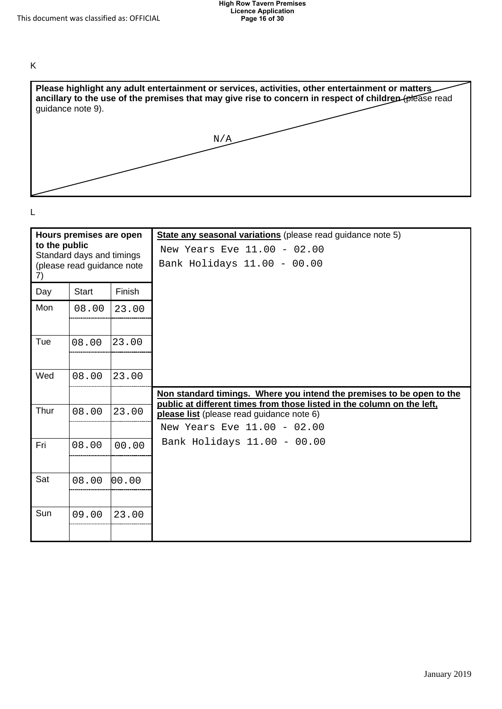



|               |                            |        | N/A                                                                                                                 |
|---------------|----------------------------|--------|---------------------------------------------------------------------------------------------------------------------|
|               |                            |        |                                                                                                                     |
|               |                            |        |                                                                                                                     |
|               |                            |        |                                                                                                                     |
| L             |                            |        |                                                                                                                     |
|               | Hours premises are open    |        | State any seasonal variations (please read guidance note 5)                                                         |
| to the public | Standard days and timings  |        | New Years Eve 11.00 - 02.00                                                                                         |
| 7)            | (please read guidance note |        | Bank Holidays 11.00 - 00.00                                                                                         |
| Day           | Start                      | Finish |                                                                                                                     |
| Mon           | 08.00                      | 23.00  |                                                                                                                     |
|               |                            |        |                                                                                                                     |
| Tue           | 08.00                      | 23.00  |                                                                                                                     |
|               |                            |        |                                                                                                                     |
| Wed           | 08.00                      | 23.00  |                                                                                                                     |
|               |                            |        | Non standard timings. Where you intend the premises to be open to the                                               |
| Thur          | 08.00                      | 23.00  | public at different times from those listed in the column on the left,<br>please list (please read guidance note 6) |
|               |                            |        | New Years Eve 11.00 - 02.00                                                                                         |
| Fri           | 08.00                      | 00.00  | Bank Holidays 11.00 - 00.00                                                                                         |
|               |                            |        |                                                                                                                     |
| Sat           | 08.00                      | 00.00  |                                                                                                                     |
|               |                            |        |                                                                                                                     |
| Sun           | 09.00                      | 23.00  |                                                                                                                     |
|               |                            |        |                                                                                                                     |
|               |                            |        |                                                                                                                     |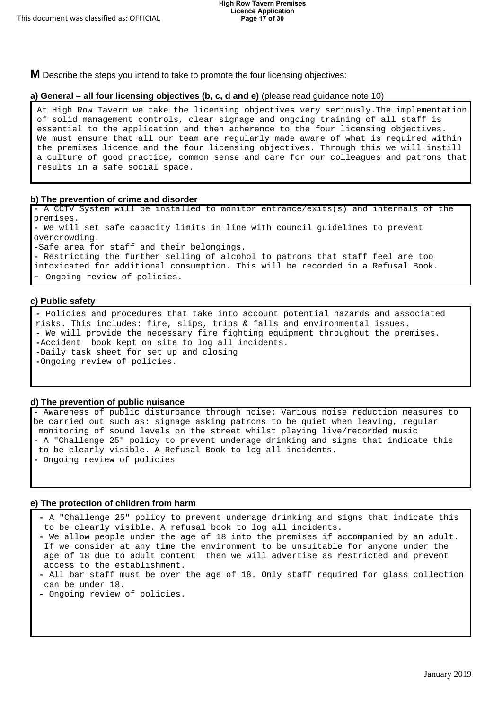**M** Describe the steps you intend to take to promote the four licensing objectives:

#### **a) General – all four licensing objectives (b, c, d and e)** (please read guidance note 10)

At High Row Tavern we take the licensing objectives very seriously.The implementation of solid management controls, clear signage and ongoing training of all staff is essential to the application and then adherence to the four licensing objectives. We must ensure that all our team are regularly made aware of what is required within the premises licence and the four licensing objectives. Through this we will instill a culture of good practice, common sense and care for our colleagues and patrons that results in a safe social space.

#### **b) The prevention of crime and disorder**

**-** A CCTV System will be installed to monitor entrance/exits(s) and internals of the premises. **-** We will set safe capacity limits in line with council guidelines to prevent overcrowding. **-**Safe area for staff and their belongings. **-** Restricting the further selling of alcohol to patrons that staff feel are too intoxicated for additional consumption. This will be recorded in a Refusal Book. Ongoing review of policies.

#### **c) Public safety**

**-** Policies and procedures that take into account potential hazards and associated risks. This includes: fire, slips, trips & falls and environmental issues. **-** We will provide the necessary fire fighting equipment throughout the premises. **-**Accident book kept on site to log all incidents. **-**Daily task sheet for set up and closing **-**Ongoing review of policies.

#### **d) The prevention of public nuisance**

**-** Awareness of public disturbance through noise: Various noise reduction measures to be carried out such as: signage asking patrons to be quiet when leaving, regular monitoring of sound levels on the street whilst playing live/recorded music **-** A "Challenge 25" policy to prevent underage drinking and signs that indicate this to be clearly visible. A Refusal Book to log all incidents. **-** Ongoing review of policies

#### **e) The protection of children from harm**

**-** A "Challenge 25" policy to prevent underage drinking and signs that indicate this to be clearly visible. A refusal book to log all incidents.

- **-** We allow people under the age of 18 into the premises if accompanied by an adult. If we consider at any time the environment to be unsuitable for anyone under the age of 18 due to adult content then we will advertise as restricted and prevent access to the establishment.
- **-** All bar staff must be over the age of 18. Only staff required for glass collection can be under 18.
- **-** Ongoing review of policies.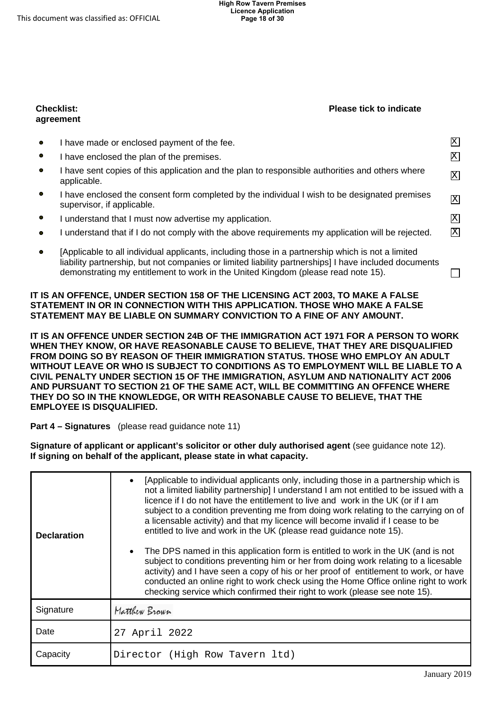#### **Checklist: agreement**

#### **Please tick to indicate**

| $\bullet$ | have made or enclosed payment of the fee.                                                                                                                                                                  | x               |
|-----------|------------------------------------------------------------------------------------------------------------------------------------------------------------------------------------------------------------|-----------------|
| $\bullet$ | have enclosed the plan of the premises.                                                                                                                                                                    | $\mathbf X$     |
| $\bullet$ | have sent copies of this application and the plan to responsible authorities and others where<br>applicable.                                                                                               | X               |
| $\bullet$ | have enclosed the consent form completed by the individual I wish to be designated premises<br>supervisor, if applicable.                                                                                  | 区               |
| $\bullet$ | understand that I must now advertise my application.                                                                                                                                                       | X               |
| $\bullet$ | understand that if I do not comply with the above requirements my application will be rejected.                                                                                                            | $\vert X \vert$ |
| $\bullet$ | [Applicable to all individual applicants, including those in a partnership which is not a limited<br>liability partnership, but not companies or limited liability partnerships] I have included documents |                 |

#### STATEMENT MAY BE LIABLE ON SUMMARY CONVICTION TO A FINE OF ANY AMOUNT. **IT IS AN OFFENCE, UNDER SECTION 158 OF THE LICENSING ACT 2003, TO MAKE A FALSE STATEMENT IN OR IN CONNECTION WITH THIS APPLICATION. THOSE WHO MAKE A FALSE**

demonstrating my entitlement to work in the United Kingdom (please read note 15).

 **WHEN THEY KNOW, OR HAVE REASONABLE CAUSE TO BELIEVE, THAT THEY ARE DISQUALIFIED AND PURSUANT TO SECTION 21 OF THE SAME ACT, WILL BE COMMITTING AN OFFENCE WHERE THEY DO SO IN THE KNOWLEDGE, OR WITH REASONABLE CAUSE TO BELIEVE, THAT THE**  IT IS AN OFFENCE UNDER SECTION 24B OF THE IMMIGRATION ACT 1971 FOR A PERSON TO WORK **FROM DOING SO BY REASON OF THEIR IMMIGRATION STATUS. THOSE WHO EMPLOY AN ADULT WITHOUT LEAVE OR WHO IS SUBJECT TO CONDITIONS AS TO EMPLOYMENT WILL BE LIABLE TO A CIVIL PENALTY UNDER SECTION 15 OF THE IMMIGRATION, ASYLUM AND NATIONALITY ACT 2006 EMPLOYEE IS DISQUALIFIED.** 

**Part 4 – Signatures** (please read guidance note 11)

 **Signature of applicant or applicant's solicitor or other duly authorised agent** (see guidance note 12). **If signing on behalf of the applicant, please state in what capacity.** 

| <b>Declaration</b> | [Applicable to individual applicants only, including those in a partnership which is<br>not a limited liability partnership] I understand I am not entitled to be issued with a<br>licence if I do not have the entitlement to live and work in the UK (or if I am<br>subject to a condition preventing me from doing work relating to the carrying on of<br>a licensable activity) and that my licence will become invalid if I cease to be<br>entitled to live and work in the UK (please read guidance note 15). |  |
|--------------------|---------------------------------------------------------------------------------------------------------------------------------------------------------------------------------------------------------------------------------------------------------------------------------------------------------------------------------------------------------------------------------------------------------------------------------------------------------------------------------------------------------------------|--|
|                    | The DPS named in this application form is entitled to work in the UK (and is not<br>subject to conditions preventing him or her from doing work relating to a licesable<br>activity) and I have seen a copy of his or her proof of entitlement to work, or have<br>conducted an online right to work check using the Home Office online right to work<br>checking service which confirmed their right to work (please see note 15).                                                                                 |  |
| Signature          | Matthew Brown                                                                                                                                                                                                                                                                                                                                                                                                                                                                                                       |  |
| Date               | 27 April 2022                                                                                                                                                                                                                                                                                                                                                                                                                                                                                                       |  |
| Capacity           | Director (High Row Tavern 1td)                                                                                                                                                                                                                                                                                                                                                                                                                                                                                      |  |

□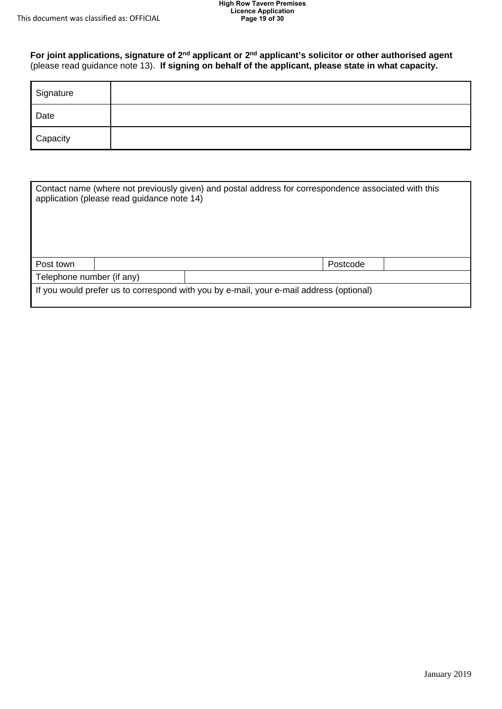**For joint applications, signature of 2nd applicant or 2nd applicant's solicitor or other authorised agent**  (please read guidance note 13). **If signing on behalf of the applicant, please state in what capacity.** 

| Signature                                                                                            |  |  |  |
|------------------------------------------------------------------------------------------------------|--|--|--|
| Date                                                                                                 |  |  |  |
| Capacity                                                                                             |  |  |  |
|                                                                                                      |  |  |  |
| Contact name (where not previously given) and postal address for correspondence associated with this |  |  |  |

|                           | application (please read guidance note 14) | Contact name (where not previously given) and postal address for correspondence associated with this |  |
|---------------------------|--------------------------------------------|------------------------------------------------------------------------------------------------------|--|
| Post town                 |                                            | Postcode                                                                                             |  |
| Telephone number (if any) |                                            |                                                                                                      |  |
|                           |                                            | If you would prefer us to correspond with you by e-mail, your e-mail address (optional)              |  |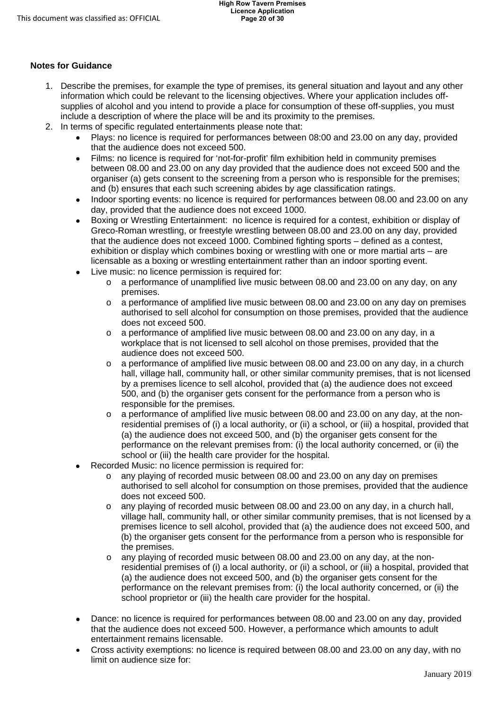### **Notes for Guidance**

- supplies of alcohol and you intend to provide a place for consumption of these off-supplies, you must 1. Describe the premises, for example the type of premises, its general situation and layout and any other information which could be relevant to the licensing objectives. Where your application includes offinclude a description of where the place will be and its proximity to the premises.
- 2. In terms of specific regulated entertainments please note that:
	- Plays: no licence is required for performances between 08:00 and 23.00 on any day, provided that the audience does not exceed 500.
	- Films: no licence is required for 'not-for-profit' film exhibition held in community premises between 08.00 and 23.00 on any day provided that the audience does not exceed 500 and the organiser (a) gets consent to the screening from a person who is responsible for the premises; and (b) ensures that each such screening abides by age classification ratings.
	- day, provided that the audience does not exceed 1000. • Indoor sporting events: no licence is required for performances between 08.00 and 23.00 on any
	- Boxing or Wrestling Entertainment: no licence is required for a contest, exhibition or display of Greco-Roman wrestling, or freestyle wrestling between 08.00 and 23.00 on any day, provided that the audience does not exceed 1000. Combined fighting sports – defined as a contest, exhibition or display which combines boxing or wrestling with one or more martial arts – are licensable as a boxing or wrestling entertainment rather than an indoor sporting event.
	- Live music: no licence permission is required for:
		- o a performance of unamplified live music between 08.00 and 23.00 on any day, on any premises.
		- o a performance of amplified live music between 08.00 and 23.00 on any day on premises authorised to sell alcohol for consumption on those premises, provided that the audience does not exceed 500.
		- $\circ$  a performance of amplified live music between 08.00 and 23.00 on any day, in a workplace that is not licensed to sell alcohol on those premises, provided that the audience does not exceed 500.
		- $\circ$  a performance of amplified live music between 08.00 and 23.00 on any day, in a church hall, village hall, community hall, or other similar community premises, that is not licensed by a premises licence to sell alcohol, provided that (a) the audience does not exceed 500, and (b) the organiser gets consent for the performance from a person who is responsible for the premises.
		- o a performance of amplified live music between 08.00 and 23.00 on any day, at the nonresidential premises of (i) a local authority, or (ii) a school, or (iii) a hospital, provided that (a) the audience does not exceed 500, and (b) the organiser gets consent for the performance on the relevant premises from: (i) the local authority concerned, or (ii) the school or (iii) the health care provider for the hospital.
	- Recorded Music: no licence permission is required for:
		- $\circ$  any playing of recorded music between 08.00 and 23.00 on any day on premises authorised to sell alcohol for consumption on those premises, provided that the audience does not exceed 500.
		- village hall, community hall, or other similar community premises, that is not licensed by a  $\circ$  any playing of recorded music between 08.00 and 23.00 on any day, in a church hall, premises licence to sell alcohol, provided that (a) the audience does not exceed 500, and (b) the organiser gets consent for the performance from a person who is responsible for the premises.
		- o any playing of recorded music between 08.00 and 23.00 on any day, at the nonresidential premises of (i) a local authority, or (ii) a school, or (iii) a hospital, provided that (a) the audience does not exceed 500, and (b) the organiser gets consent for the performance on the relevant premises from: (i) the local authority concerned, or (ii) the school proprietor or (iii) the health care provider for the hospital.
	- Dance: no licence is required for performances between 08.00 and 23.00 on any day, provided that the audience does not exceed 500. However, a performance which amounts to adult entertainment remains licensable.
	- limit on audience size for: • Cross activity exemptions: no licence is required between 08.00 and 23.00 on any day, with no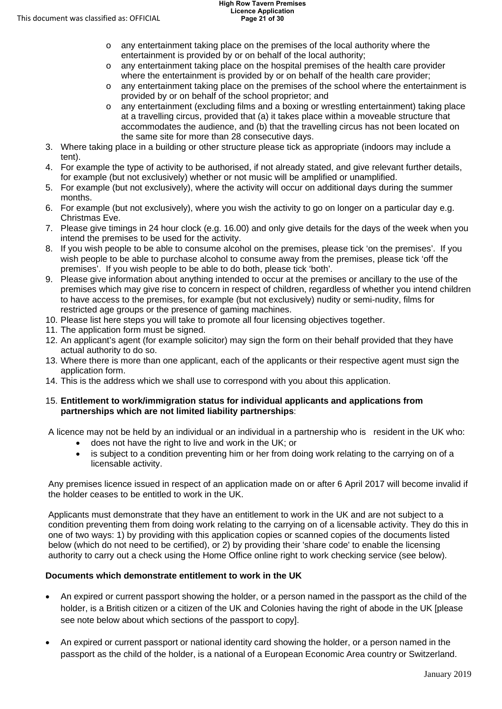- o any entertainment taking place on the premises of the local authority where the entertainment is provided by or on behalf of the local authority;
- o any entertainment taking place on the hospital premises of the health care provider where the entertainment is provided by or on behalf of the health care provider;
- o any entertainment taking place on the premises of the school where the entertainment is provided by or on behalf of the school proprietor; and
- the same site for more than 28 consecutive days. o any entertainment (excluding films and a boxing or wrestling entertainment) taking place at a travelling circus, provided that (a) it takes place within a moveable structure that accommodates the audience, and (b) that the travelling circus has not been located on
- 3. Where taking place in a building or other structure please tick as appropriate (indoors may include a tent).
- 4. For example the type of activity to be authorised, if not already stated, and give relevant further details, for example (but not exclusively) whether or not music will be amplified or unamplified.
- 5. For example (but not exclusively), where the activity will occur on additional days during the summer months.
- 6. For example (but not exclusively), where you wish the activity to go on longer on a particular day e.g. Christmas Eve.
- 7. Please give timings in 24 hour clock (e.g. 16.00) and only give details for the days of the week when you intend the premises to be used for the activity.
- 8. If you wish people to be able to consume alcohol on the premises, please tick 'on the premises'. If you wish people to be able to purchase alcohol to consume away from the premises, please tick 'off the premises'. If you wish people to be able to do both, please tick 'both'.
- to have access to the premises, for example (but not exclusively) nudity or semi-nudity, films for 9. Please give information about anything intended to occur at the premises or ancillary to the use of the premises which may give rise to concern in respect of children, regardless of whether you intend children restricted age groups or the presence of gaming machines.
- 10. Please list here steps you will take to promote all four licensing objectives together.
- 11. The application form must be signed.
- 12. An applicant's agent (for example solicitor) may sign the form on their behalf provided that they have actual authority to do so.
- 13. Where there is more than one applicant, each of the applicants or their respective agent must sign the application form.
- 14. This is the address which we shall use to correspond with you about this application.

#### 15. **Entitlement to work/immigration status for individual applicants and applications from partnerships which are not limited liability partnerships**:

A licence may not be held by an individual or an individual in a partnership who is resident in the UK who:

- does not have the right to live and work in the UK; or
- is subject to a condition preventing him or her from doing work relating to the carrying on of a licensable activity.

Any premises licence issued in respect of an application made on or after 6 April 2017 will become invalid if the holder ceases to be entitled to work in the UK.

Applicants must demonstrate that they have an entitlement to work in the UK and are not subject to a condition preventing them from doing work relating to the carrying on of a licensable activity. They do this in one of two ways: 1) by providing with this application copies or scanned copies of the documents listed below (which do not need to be certified), or 2) by providing their 'share code' to enable the licensing authority to carry out a check using the Home Office online right to work checking service (see below).

### **Documents which demonstrate entitlement to work in the UK**

- • An expired or current passport showing the holder, or a person named in the passport as the child of the holder, is a British citizen or a citizen of the UK and Colonies having the right of abode in the UK [please see note below about which sections of the passport to copy].
- passport as the child of the holder, is a national of a European Economic Area country or Switzerland. • An expired or current passport or national identity card showing the holder, or a person named in the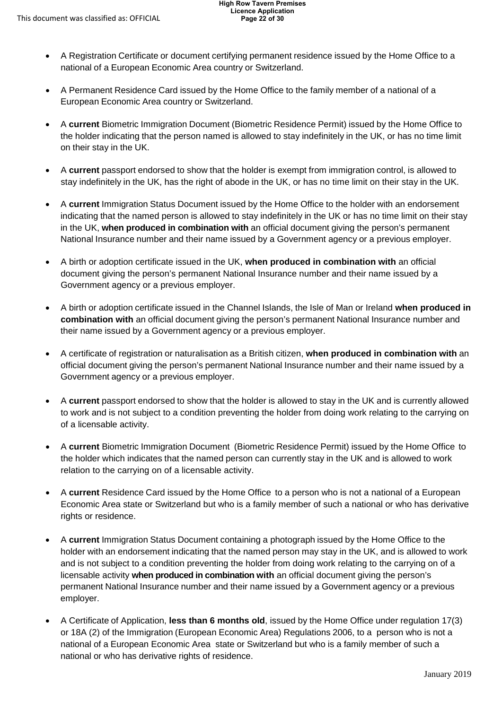- national of a European Economic Area country or Switzerland. • A Registration Certificate or document certifying permanent residence issued by the Home Office to a
- • A Permanent Residence Card issued by the Home Office to the family member of a national of a European Economic Area country or Switzerland.
- the holder indicating that the person named is allowed to stay indefinitely in the UK, or has no time limit on their stay in the UK. • A **current** Biometric Immigration Document (Biometric Residence Permit) issued by the Home Office to
- stay indefinitely in the UK, has the right of abode in the UK, or has no time limit on their stay in the UK. • A **current** passport endorsed to show that the holder is exempt from immigration control, is allowed to
- $\bullet$  indicating that the named person is allowed to stay indefinitely in the UK or has no time limit on their stay in the UK, **when produced in combination with** an official document giving the person's permanent National Insurance number and their name issued by a Government agency or a previous employer. • A **current** Immigration Status Document issued by the Home Office to the holder with an endorsement
- A birth or adoption certificate issued in the UK, **when produced in combination with** an official document giving the person's permanent National Insurance number and their name issued by a Government agency or a previous employer.
- $\bullet$  **combination with** an official document giving the person's permanent National Insurance number and their name issued by a Government agency or a previous employer. • A birth or adoption certificate issued in the Channel Islands, the Isle of Man or Ireland **when produced in**
- $\bullet$  official document giving the person's permanent National Insurance number and their name issued by a Government agency or a previous employer. • A certificate of registration or naturalisation as a British citizen, **when produced in combination with** an
- A **current** passport endorsed to show that the holder is allowed to stay in the UK and is currently allowed to work and is not subject to a condition preventing the holder from doing work relating to the carrying on of a licensable activity.
- the holder which indicates that the named person can currently stay in the UK and is allowed to work • A **current** Biometric Immigration Document (Biometric Residence Permit) issued by the Home Office to relation to the carrying on of a licensable activity.
- A **current** Residence Card issued by the Home Office to a person who is not a national of a European Economic Area state or Switzerland but who is a family member of such a national or who has derivative rights or residence.
- holder with an endorsement indicating that the named person may stay in the UK, and is allowed to work licensable activity **when produced in combination with** an official document giving the person's permanent National Insurance number and their name issued by a Government agency or a previous • A **current** Immigration Status Document containing a photograph issued by the Home Office to the and is not subject to a condition preventing the holder from doing work relating to the carrying on of a employer.
- • A Certificate of Application, **less than 6 months old**, issued by the Home Office under regulation 17(3) or 18A (2) of the Immigration (European Economic Area) Regulations 2006, to a person who is not a national of a European Economic Area state or Switzerland but who is a family member of such a national or who has derivative rights of residence.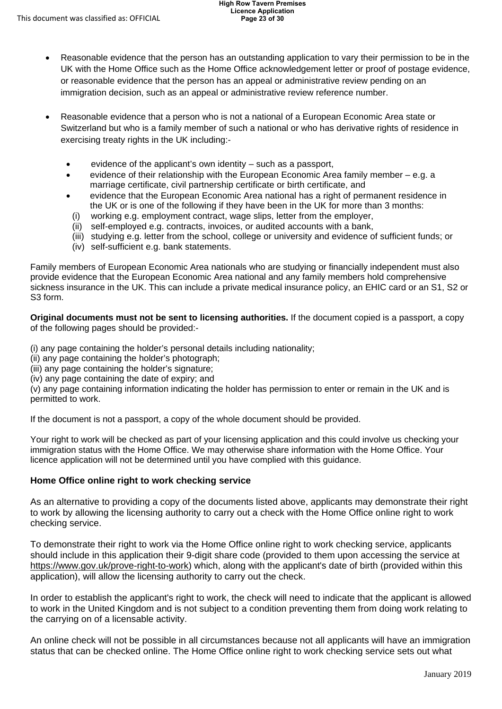- Reasonable evidence that the person has an outstanding application to vary their permission to be in the UK with the Home Office such as the Home Office acknowledgement letter or proof of postage evidence, or reasonable evidence that the person has an appeal or administrative review pending on an immigration decision, such as an appeal or administrative review reference number.
- exercising treaty rights in the UK including:- • Reasonable evidence that a person who is not a national of a European Economic Area state or Switzerland but who is a family member of such a national or who has derivative rights of residence in
	- evidence of the applicant's own identity such as a passport,
	- evidence of their relationship with the European Economic Area family member e.g. a marriage certificate, civil partnership certificate or birth certificate, and
	- the UK or is one of the following if they have been in the UK for more than 3 months: • evidence that the European Economic Area national has a right of permanent residence in
	- (i) working e.g. employment contract, wage slips, letter from the employer,
	- (ii) self-employed e.g. contracts, invoices, or audited accounts with a bank,
	- (iii) studying e.g. letter from the school, college or university and evidence of sufficient funds; or
	- (iv) self-sufficient e.g. bank statements.

Family members of European Economic Area nationals who are studying or financially independent must also provide evidence that the European Economic Area national and any family members hold comprehensive sickness insurance in the UK. This can include a private medical insurance policy, an EHIC card or an S1, S2 or S3 form.

**Original documents must not be sent to licensing authorities.** If the document copied is a passport, a copy of the following pages should be provided:-

(i) any page containing the holder's personal details including nationality;

(ii) any page containing the holder's photograph;

(iii) any page containing the holder's signature;

(iv) any page containing the date of expiry; and

(v) any page containing information indicating the holder has permission to enter or remain in the UK and is permitted to work.

If the document is not a passport, a copy of the whole document should be provided.

Your right to work will be checked as part of your licensing application and this could involve us checking your immigration status with the Home Office. We may otherwise share information with the Home Office. Your licence application will not be determined until you have complied with this guidance.

### **Home Office online right to work checking service**

As an alternative to providing a copy of the documents listed above, applicants may demonstrate their right to work by allowing the licensing authority to carry out a check with the Home Office online right to work checking service.

To demonstrate their right to work via the Home Office online right to work checking service, applicants should include in this application their 9-digit share code (provided to them upon accessing the service at [https://www.gov.uk/prove-right-to-work\)](https://www.gov.uk/prove-right-to-work) which, along with the applicant's date of birth (provided within this application), will allow the licensing authority to carry out the check.

In order to establish the applicant's right to work, the check will need to indicate that the applicant is allowed to work in the United Kingdom and is not subject to a condition preventing them from doing work relating to the carrying on of a licensable activity.

An online check will not be possible in all circumstances because not all applicants will have an immigration status that can be checked online. The Home Office online right to work checking service sets out what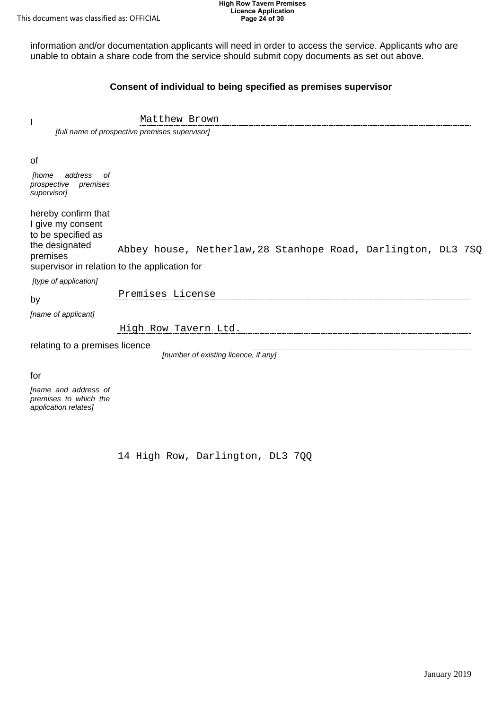This document was classified as: OFFICIAL

#### **High Row Tavern Premises Licence Application Page 24 of 30**

information and/or documentation applicants will need in order to access the service. Applicants who are unable to obtain a share code from the service should submit copy documents as set out above.

### **Consent of individual to being specified as premises supervisor**

|                                                                                              | [full name of prospective premises supervisor]                                                                 |
|----------------------------------------------------------------------------------------------|----------------------------------------------------------------------------------------------------------------|
| 0f<br>address<br><i>[home</i><br>of<br>prospective<br>premises<br>supervisor]                |                                                                                                                |
| hereby confirm that<br>I give my consent<br>to be specified as<br>the designated<br>premises | Abbey house, Netherlaw, 28 Stanhope Road, Darlington, DL3 7SQ<br>supervisor in relation to the application for |
| [type of application]                                                                        |                                                                                                                |
| by                                                                                           | Premises License                                                                                               |
| [name of applicant]                                                                          |                                                                                                                |
|                                                                                              | High Row Tavern Ltd.                                                                                           |
| relating to a premises licence                                                               | [number of existing licence, if any]                                                                           |

Matthew Brown

for

I

 *[name and address of premises to which the application relates]* 

14 High Row, Darlington, DL3 7QQ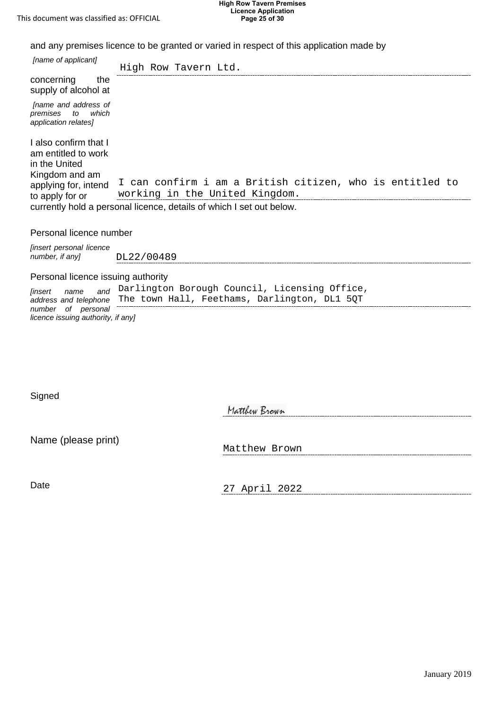**High Row Tavern Premises Licence Application Page 25 of 30**

and any premises licence to be granted or varied in respect of this application made by

| [name of applicant]                                                             | High Row Tavern Ltd.                                                                          |
|---------------------------------------------------------------------------------|-----------------------------------------------------------------------------------------------|
| concerning<br>the<br>supply of alcohol at                                       |                                                                                               |
| [name and address of<br>premises<br>to<br>which<br>application relates]         |                                                                                               |
| I also confirm that I<br>am entitled to work<br>in the United<br>Kingdom and am |                                                                                               |
| applying for, intend<br>to apply for or                                         | I can confirm i am a British citizen, who is entitled to<br>working in the United Kingdom.    |
|                                                                                 | currently hold a personal licence, details of which I set out below.                          |
| Personal licence number                                                         |                                                                                               |
| [insert personal licence<br>number, if any]                                     | DL22/00489                                                                                    |
| Personal licence issuing authority                                              |                                                                                               |
| and<br>[insert<br>name<br>address and telephone                                 | Darlington Borough Council, Licensing Office,<br>The town Hall, Feethams, Darlington, DL1 5QT |
| number of personal<br>licence issuing authority, if any]                        |                                                                                               |
|                                                                                 |                                                                                               |
|                                                                                 |                                                                                               |
|                                                                                 |                                                                                               |
| Signed                                                                          |                                                                                               |
|                                                                                 | Matthew Brown                                                                                 |
| Name (please print)                                                             |                                                                                               |
|                                                                                 | Matthew Brown                                                                                 |
| Date                                                                            |                                                                                               |
|                                                                                 | 27 April 2022                                                                                 |

#### Personal licence number

| <i>linsert personal licence</i> |            |
|---------------------------------|------------|
| number, if any]                 | DL22/00489 |

#### Personal licence issuing authority

| linsert<br>name                                          | and Darlington Borough Council, Licensing Office,                  |
|----------------------------------------------------------|--------------------------------------------------------------------|
|                                                          | address and telephone The town Hall, Feethams, Darlington, DL1 50T |
| number of personal<br>licence issuing authority, if anyl |                                                                    |